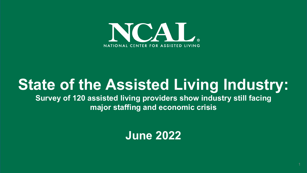

# **State of the Assisted Living Industry:**

**Survey of 120 assisted living providers show industry still facing major staffing and economic crisis**

**June 2022**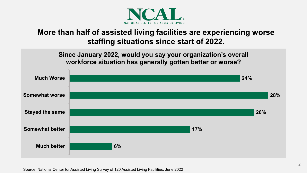

# **More than half of assisted living facilities are experiencing worse staffing situations since start of 2022.**

**Since January 2022, would you say your organization's overall workforce situation has generally gotten better or worse?** 

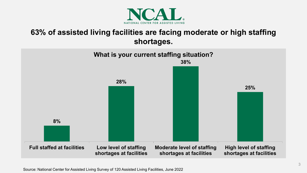![](_page_2_Picture_0.jpeg)

# **63% of assisted living facilities are facing moderate or high staffing shortages.**

![](_page_2_Figure_2.jpeg)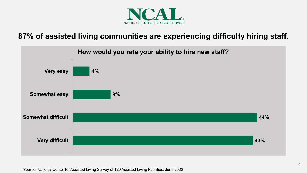![](_page_3_Picture_0.jpeg)

#### **87% of assisted living communities are experiencing difficulty hiring staff.**

![](_page_3_Figure_2.jpeg)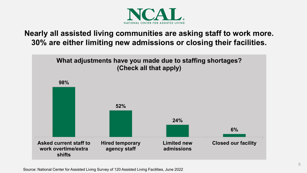![](_page_4_Picture_0.jpeg)

# **Nearly all assisted living communities are asking staff to work more. 30% are either limiting new admissions or closing their facilities.**

![](_page_4_Figure_2.jpeg)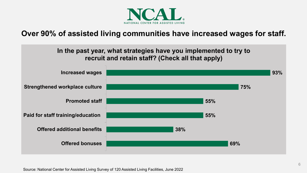![](_page_5_Picture_0.jpeg)

#### **Over 90% of assisted living communities have increased wages for staff.**

![](_page_5_Figure_2.jpeg)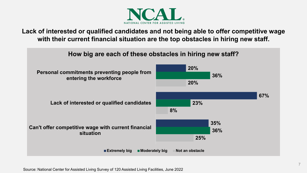![](_page_6_Picture_0.jpeg)

**Lack of interested or qualified candidates and not being able to offer competitive wage with their current financial situation are the top obstacles in hiring new staff.**

![](_page_6_Figure_2.jpeg)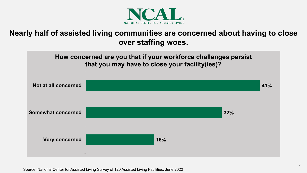![](_page_7_Picture_0.jpeg)

## **Nearly half of assisted living communities are concerned about having to close over staffing woes.**

![](_page_7_Figure_2.jpeg)

Source: National Center for Assisted Living Survey of 120 Assisted Living Facilities, June 2022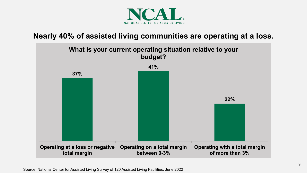![](_page_8_Picture_0.jpeg)

#### **Nearly 40% of assisted living communities are operating at a loss.**

![](_page_8_Figure_2.jpeg)

Source: National Center for Assisted Living Survey of 120 Assisted Living Facilities, June 2022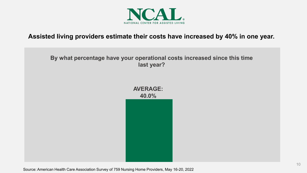![](_page_9_Picture_0.jpeg)

#### **Assisted living providers estimate their costs have increased by 40% in one year.**

#### **By what percentage have your operational costs increased since this time last year?**

![](_page_9_Figure_3.jpeg)

Source: American Health Care Association Survey of 759 Nursing Home Providers, May 16-20, 2022